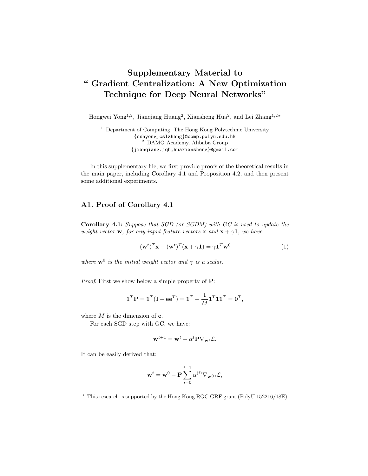# Supplementary Material to " Gradient Centralization: A New Optimization Technique for Deep Neural Networks"

Hongwei Yong<sup>1,2</sup>, Jianqiang Huang<sup>2</sup>, Xiansheng Hua<sup>2</sup>, and Lei Zhang<sup>1,2\*</sup>

 $1$  Department of Computing, The Hong Kong Polytechnic University {cshyong,cslzhang}@comp.polyu.edu.hk <sup>2</sup> DAMO Academy, Alibaba Group {jianqiang.jqh,huaxiansheng}@gmail.com

In this supplementary file, we first provide proofs of the theoretical results in the main paper, including Corollary 4.1 and Proposition 4.2, and then present some additional experiments.

## A1. Proof of Corollary 4.1

Corollary 4.1: Suppose that SGD (or SGDM) with GC is used to update the weight vector **w**, for any input feature vectors **x** and  $\mathbf{x} + \gamma \mathbf{1}$ , we have

$$
(\mathbf{w}^t)^T \mathbf{x} - (\mathbf{w}^t)^T (\mathbf{x} + \gamma \mathbf{1}) = \gamma \mathbf{1}^T \mathbf{w}^0
$$
 (1)

where  $\mathbf{w}^0$  is the initial weight vector and  $\gamma$  is a scalar.

Proof. First we show below a simple property of  $P$ :

$$
\mathbf{1}^T \mathbf{P} = \mathbf{1}^T (\mathbf{I} - \mathbf{e} \mathbf{e}^T) = \mathbf{1}^T - \frac{1}{M} \mathbf{1}^T \mathbf{1} \mathbf{1}^T = \mathbf{0}^T,
$$

where  $M$  is the dimension of  $e$ .

For each SGD step with GC, we have:

$$
\mathbf{w}^{t+1} = \mathbf{w}^t - \alpha^t \mathbf{P} \nabla_{\mathbf{w}^t} \mathcal{L}.
$$

It can be easily derived that:

$$
\mathbf{w}^{t} = \mathbf{w}^{0} - \mathbf{P} \sum_{i=0}^{t-1} \alpha^{(i)} \nabla_{\mathbf{w}^{(i)}} \mathcal{L},
$$

<sup>?</sup> This research is supported by the Hong Kong RGC GRF grant (PolyU 152216/18E).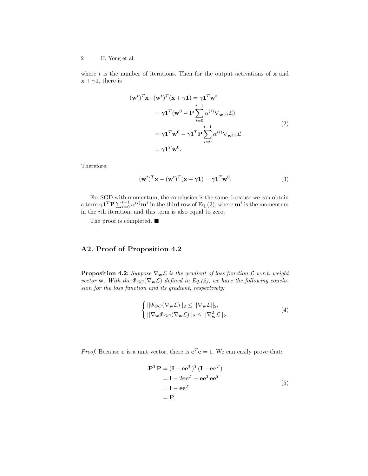#### 2 H. Yong et al.

where  $t$  is the number of iterations. Then for the output activations of  $x$  and  $\mathbf{x} + \gamma \mathbf{1}$ , there is

$$
(\mathbf{w}^t)^T \mathbf{x} - (\mathbf{w}^t)^T (\mathbf{x} + \gamma \mathbf{1}) = \gamma \mathbf{1}^T \mathbf{w}^t
$$
  
\n
$$
= \gamma \mathbf{1}^T (\mathbf{w}^0 - \mathbf{P} \sum_{i=0}^{t-1} \alpha^{(i)} \nabla_{\mathbf{w}^{(i)}} \mathcal{L})
$$
  
\n
$$
= \gamma \mathbf{1}^T \mathbf{w}^0 - \gamma \mathbf{1}^T \mathbf{P} \sum_{i=0}^{t-1} \alpha^{(i)} \nabla_{\mathbf{w}^{(i)}} \mathcal{L}
$$
  
\n
$$
= \gamma \mathbf{1}^T \mathbf{w}^0.
$$
 (2)

Therefore,

$$
(\mathbf{w}^t)^T \mathbf{x} - (\mathbf{w}^t)^T (\mathbf{x} + \gamma \mathbf{1}) = \gamma \mathbf{1}^T \mathbf{w}^0.
$$
 (3)

For SGD with momentum, the conclusion is the same, because we can obtain a term  $\gamma \mathbf{1}^T \mathbf{P} \sum_{i=0}^{t-1} \alpha^{(i)} \mathbf{m}^i$  in the third row of Eq.(2), where  $\mathbf{m}^i$  is the momentum in the ith iteration, and this term is also equal to zero.

The proof is completed.  $\blacksquare$ 

# A2. Proof of Proposition 4.2

**Proposition 4.2:** Suppose  $\nabla_{\mathbf{w}} \mathcal{L}$  is the gradient of loss function  $\mathcal{L}$  w.r.t. weight vector w. With the  $\Phi_{GC}(\nabla_{\mathbf{w}}\mathcal{L})$  defined in Eq.(2), we have the following conclusion for the loss function and its gradient, respectively:

$$
\begin{cases}\n||\Phi_{GC}(\nabla_{\mathbf{w}}\mathcal{L})||_2 \leq ||\nabla_{\mathbf{w}}\mathcal{L}||_2, \\
||\nabla_{\mathbf{w}}\Phi_{GC}(\nabla_{\mathbf{w}}\mathcal{L})||_2 \leq ||\nabla_{\mathbf{w}}^2\mathcal{L}||_2.\n\end{cases} (4)
$$

*Proof.* Because **e** is a unit vector, there is  $e^T e = 1$ . We can easily prove that:

$$
\mathbf{P}^T \mathbf{P} = (\mathbf{I} - \mathbf{e} \mathbf{e}^T)^T (\mathbf{I} - \mathbf{e} \mathbf{e}^T)
$$
  
=  $\mathbf{I} - 2 \mathbf{e} \mathbf{e}^T + \mathbf{e} \mathbf{e}^T \mathbf{e} \mathbf{e}^T$   
=  $\mathbf{I} - \mathbf{e} \mathbf{e}^T$   
=  $\mathbf{P}$ . (5)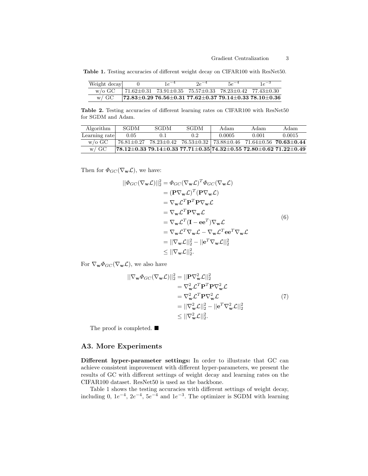Table 1. Testing accuracies of different weight decay on CIFAR100 with ResNet50.

| Weight decay |                                                                                                                          | $1e^{-4}$ | $2e^{-4}$ | $5e^{-4}$ |                                                                                             |
|--------------|--------------------------------------------------------------------------------------------------------------------------|-----------|-----------|-----------|---------------------------------------------------------------------------------------------|
| w/o GC       | $\frac{171.62 \pm 0.31}{73.91 \pm 0.35}$ $\frac{75.57 \pm 0.33}{78.23 \pm 0.42}$ $\frac{77.43 \pm 0.30}{77.43 \pm 0.30}$ |           |           |           |                                                                                             |
| $W / G$ C    |                                                                                                                          |           |           |           | $\frac{172.83 \pm 0.29}{76.56 \pm 0.31}$ 77.62 $\pm$ 0.37 79.14 $\pm$ 0.33 78.10 $\pm$ 0.36 |

Table 2. Testing accuracies of different learning rates on CIFAR100 with ResNet50 for SGDM and Adam.

| Algorithm         | SGDM           | <b>SGDM</b> | SGDM | Adam   | Adam  | Adam                                                                                                         |
|-------------------|----------------|-------------|------|--------|-------|--------------------------------------------------------------------------------------------------------------|
| Learning rate     | 0.05           | 0.1         | 0.2  | 0.0005 | 0.001 | 0.0015                                                                                                       |
| $w/\mathrm{o}$ GC | $76.81 + 0.27$ |             |      |        |       | $78.23 \pm 0.42$ $76.53 \pm 0.32$ $73.88 \pm 0.46$ $71.64 \pm 0.56$ $70.63 \pm 0.44$                         |
| $w / G$ C         |                |             |      |        |       | $\mid$ 78.12 $\pm$ 0.33 79.14 $\pm$ 0.33 77.71 $\pm$ 0.35 74.32 $\pm$ 0.55 72.80 $\pm$ 0.62 71.22 $\pm$ 0.49 |

Then for  $\Phi_{GC}(\nabla_{\mathbf{w}}\mathcal{L})$ , we have:

$$
||\Phi_{GC}(\nabla_{\mathbf{w}}\mathcal{L})||_2^2 = \Phi_{GC}(\nabla_{\mathbf{w}}\mathcal{L})^T \Phi_{GC}(\nabla_{\mathbf{w}}\mathcal{L})
$$
  
\n
$$
= (\mathbf{P}\nabla_{\mathbf{w}}\mathcal{L})^T (\mathbf{P}\nabla_{\mathbf{w}}\mathcal{L})
$$
  
\n
$$
= \nabla_{\mathbf{w}}\mathcal{L}^T \mathbf{P}^T \mathbf{P} \nabla_{\mathbf{w}}\mathcal{L}
$$
  
\n
$$
= \nabla_{\mathbf{w}}\mathcal{L}^T \mathbf{P} \nabla_{\mathbf{w}}\mathcal{L}
$$
  
\n
$$
= \nabla_{\mathbf{w}}\mathcal{L}^T (\mathbf{I} - \mathbf{e}\mathbf{e}^T) \nabla_{\mathbf{w}}\mathcal{L}
$$
  
\n
$$
= \nabla_{\mathbf{w}}\mathcal{L}^T \nabla_{\mathbf{w}}\mathcal{L} - \nabla_{\mathbf{w}}\mathcal{L}^T \mathbf{e}\mathbf{e}^T \nabla_{\mathbf{w}}\mathcal{L}
$$
  
\n
$$
= ||\nabla_{\mathbf{w}}\mathcal{L}||_2^2 - ||\mathbf{e}^T \nabla_{\mathbf{w}}\mathcal{L}||_2^2
$$
  
\n
$$
\leq ||\nabla_{\mathbf{w}}\mathcal{L}||_2^2.
$$
 (6)

For  $\nabla_{\mathbf{w}} \Phi_{GC}(\nabla_{\mathbf{w}} \mathcal{L})$ , we also have

$$
\begin{split} ||\nabla_{\mathbf{w}} \Phi_{GC}(\nabla_{\mathbf{w}} \mathcal{L})||_2^2 &= ||\mathbf{P} \nabla_{\mathbf{w}}^2 \mathcal{L}||_2^2 \\ &= \nabla_{\mathbf{w}}^2 \mathcal{L}^T \mathbf{P}^T \mathbf{P} \nabla_{\mathbf{w}}^2 \mathcal{L} \\ &= \nabla_{\mathbf{w}}^2 \mathcal{L}^T \mathbf{P} \nabla_{\mathbf{w}}^2 \mathcal{L} \\ &= ||\nabla_{\mathbf{w}}^2 \mathcal{L}||_2^2 - ||\mathbf{e}^T \nabla_{\mathbf{w}}^2 \mathcal{L}||_2^2 \\ &\leq ||\nabla_{\mathbf{w}}^2 \mathcal{L}||_2^2. \end{split} \tag{7}
$$

The proof is completed.  $\blacksquare$ 

### A3. More Experiments

Different hyper-parameter settings: In order to illustrate that GC can achieve consistent improvement with different hyper-parameters, we present the results of GC with different settings of weight decay and learning rates on the CIFAR100 dataset. ResNet50 is used as the backbone.

Table 1 shows the testing accuracies with different settings of weight decay, including 0,  $1e^{-4}$ ,  $2e^{-4}$ ,  $5e^{-4}$  and  $1e^{-3}$ . The optimizer is SGDM with learning